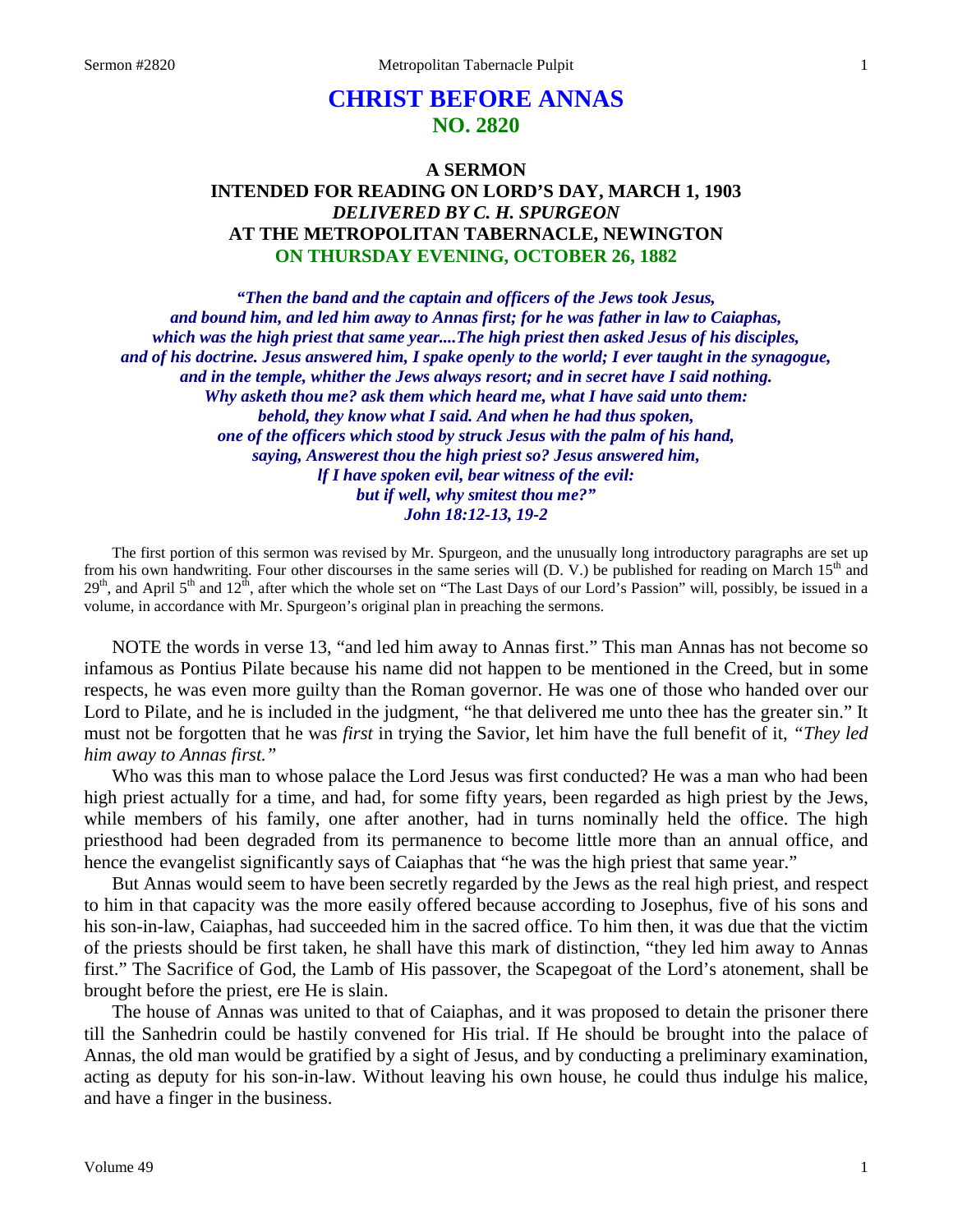# **CHRIST BEFORE ANNAS NO. 2820**

## **A SERMON INTENDED FOR READING ON LORD'S DAY, MARCH 1, 1903** *DELIVERED BY C. H. SPURGEON* **AT THE METROPOLITAN TABERNACLE, NEWINGTON ON THURSDAY EVENING, OCTOBER 26, 1882**

*"Then the band and the captain and officers of the Jews took Jesus, and bound him, and led him away to Annas first; for he was father in law to Caiaphas, which was the high priest that same year....The high priest then asked Jesus of his disciples, and of his doctrine. Jesus answered him, I spake openly to the world; I ever taught in the synagogue, and in the temple, whither the Jews always resort; and in secret have I said nothing. Why asketh thou me? ask them which heard me, what I have said unto them: behold, they know what I said. And when he had thus spoken, one of the officers which stood by struck Jesus with the palm of his hand, saying, Answerest thou the high priest so? Jesus answered him, lf I have spoken evil, bear witness of the evil: but if well, why smitest thou me?" John 18:12-13, 19-2*

The first portion of this sermon was revised by Mr. Spurgeon, and the unusually long introductory paragraphs are set up from his own handwriting. Four other discourses in the same series will (D. V.) be published for reading on March  $15<sup>th</sup>$  and  $29<sup>th</sup>$ , and April 5<sup>th</sup> and  $12<sup>th</sup>$ , after which the whole set on "The Last Days of our Lord's Passion" will, possibly, be issued in a volume, in accordance with Mr. Spurgeon's original plan in preaching the sermons.

NOTE the words in verse 13, "and led him away to Annas first." This man Annas has not become so infamous as Pontius Pilate because his name did not happen to be mentioned in the Creed, but in some respects, he was even more guilty than the Roman governor. He was one of those who handed over our Lord to Pilate, and he is included in the judgment, "he that delivered me unto thee has the greater sin." It must not be forgotten that he was *first* in trying the Savior, let him have the full benefit of it, *"They led him away to Annas first."* 

Who was this man to whose palace the Lord Jesus was first conducted? He was a man who had been high priest actually for a time, and had, for some fifty years, been regarded as high priest by the Jews, while members of his family, one after another, had in turns nominally held the office. The high priesthood had been degraded from its permanence to become little more than an annual office, and hence the evangelist significantly says of Caiaphas that "he was the high priest that same year."

But Annas would seem to have been secretly regarded by the Jews as the real high priest, and respect to him in that capacity was the more easily offered because according to Josephus, five of his sons and his son-in-law, Caiaphas, had succeeded him in the sacred office. To him then, it was due that the victim of the priests should be first taken, he shall have this mark of distinction, "they led him away to Annas first." The Sacrifice of God, the Lamb of His passover, the Scapegoat of the Lord's atonement, shall be brought before the priest, ere He is slain.

The house of Annas was united to that of Caiaphas, and it was proposed to detain the prisoner there till the Sanhedrin could be hastily convened for His trial. If He should be brought into the palace of Annas, the old man would be gratified by a sight of Jesus, and by conducting a preliminary examination, acting as deputy for his son-in-law. Without leaving his own house, he could thus indulge his malice, and have a finger in the business.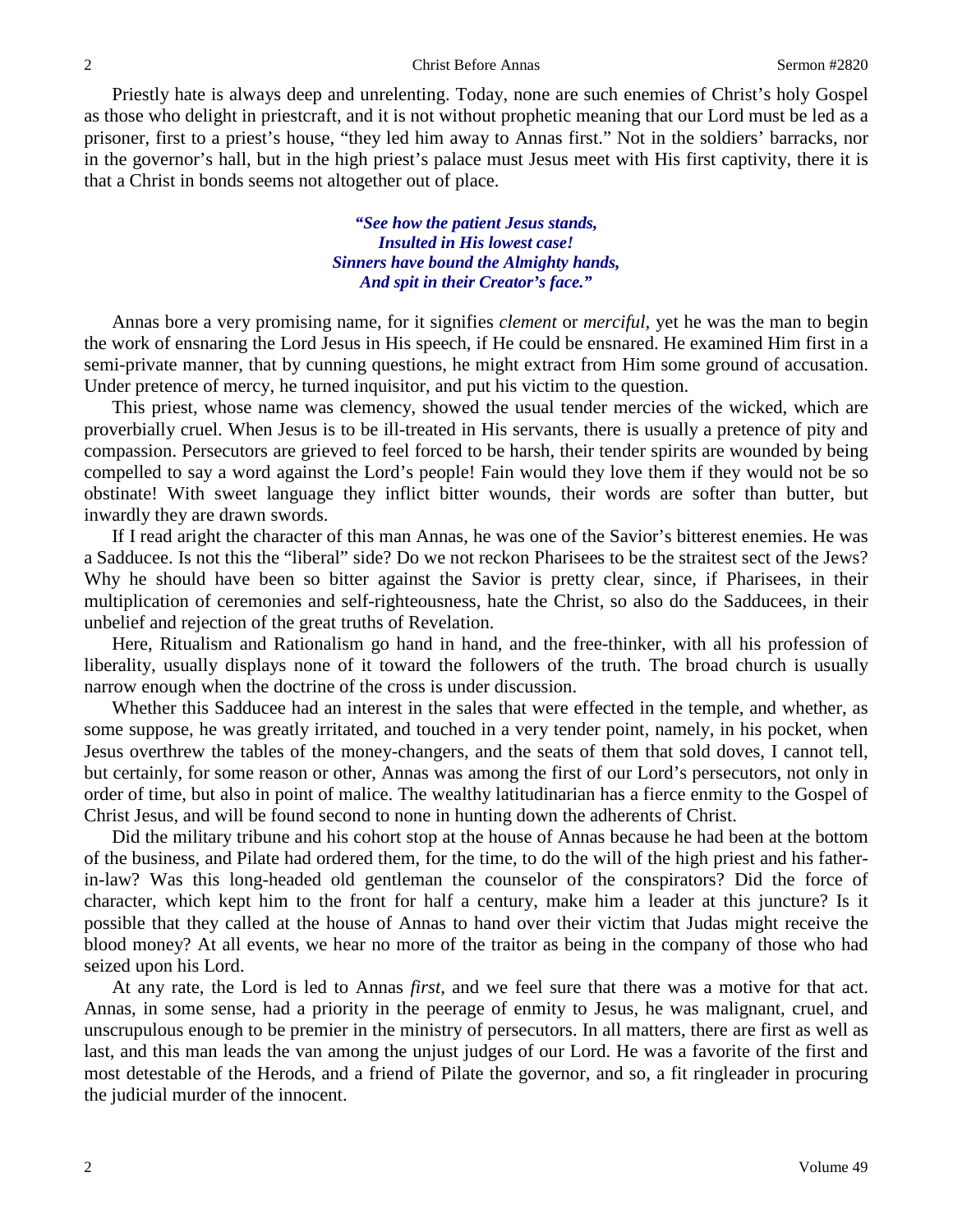Priestly hate is always deep and unrelenting. Today, none are such enemies of Christ's holy Gospel as those who delight in priestcraft, and it is not without prophetic meaning that our Lord must be led as a prisoner, first to a priest's house, "they led him away to Annas first." Not in the soldiers' barracks, nor in the governor's hall, but in the high priest's palace must Jesus meet with His first captivity, there it is that a Christ in bonds seems not altogether out of place.

> *"See how the patient Jesus stands, Insulted in His lowest case! Sinners have bound the Almighty hands, And spit in their Creator's face."*

Annas bore a very promising name, for it signifies *clement* or *merciful,* yet he was the man to begin the work of ensnaring the Lord Jesus in His speech, if He could be ensnared. He examined Him first in a semi-private manner, that by cunning questions, he might extract from Him some ground of accusation. Under pretence of mercy, he turned inquisitor, and put his victim to the question.

This priest, whose name was clemency, showed the usual tender mercies of the wicked, which are proverbially cruel. When Jesus is to be ill-treated in His servants, there is usually a pretence of pity and compassion. Persecutors are grieved to feel forced to be harsh, their tender spirits are wounded by being compelled to say a word against the Lord's people! Fain would they love them if they would not be so obstinate! With sweet language they inflict bitter wounds, their words are softer than butter, but inwardly they are drawn swords.

If I read aright the character of this man Annas, he was one of the Savior's bitterest enemies. He was a Sadducee. Is not this the "liberal" side? Do we not reckon Pharisees to be the straitest sect of the Jews? Why he should have been so bitter against the Savior is pretty clear, since, if Pharisees, in their multiplication of ceremonies and self-righteousness, hate the Christ, so also do the Sadducees, in their unbelief and rejection of the great truths of Revelation.

Here, Ritualism and Rationalism go hand in hand, and the free-thinker, with all his profession of liberality, usually displays none of it toward the followers of the truth. The broad church is usually narrow enough when the doctrine of the cross is under discussion.

Whether this Sadducee had an interest in the sales that were effected in the temple, and whether, as some suppose, he was greatly irritated, and touched in a very tender point, namely, in his pocket, when Jesus overthrew the tables of the money-changers, and the seats of them that sold doves, I cannot tell, but certainly, for some reason or other, Annas was among the first of our Lord's persecutors, not only in order of time, but also in point of malice. The wealthy latitudinarian has a fierce enmity to the Gospel of Christ Jesus, and will be found second to none in hunting down the adherents of Christ.

Did the military tribune and his cohort stop at the house of Annas because he had been at the bottom of the business, and Pilate had ordered them, for the time, to do the will of the high priest and his fatherin-law? Was this long-headed old gentleman the counselor of the conspirators? Did the force of character, which kept him to the front for half a century, make him a leader at this juncture? Is it possible that they called at the house of Annas to hand over their victim that Judas might receive the blood money? At all events, we hear no more of the traitor as being in the company of those who had seized upon his Lord.

At any rate, the Lord is led to Annas *first,* and we feel sure that there was a motive for that act. Annas, in some sense, had a priority in the peerage of enmity to Jesus, he was malignant, cruel, and unscrupulous enough to be premier in the ministry of persecutors. In all matters, there are first as well as last, and this man leads the van among the unjust judges of our Lord. He was a favorite of the first and most detestable of the Herods, and a friend of Pilate the governor, and so, a fit ringleader in procuring the judicial murder of the innocent.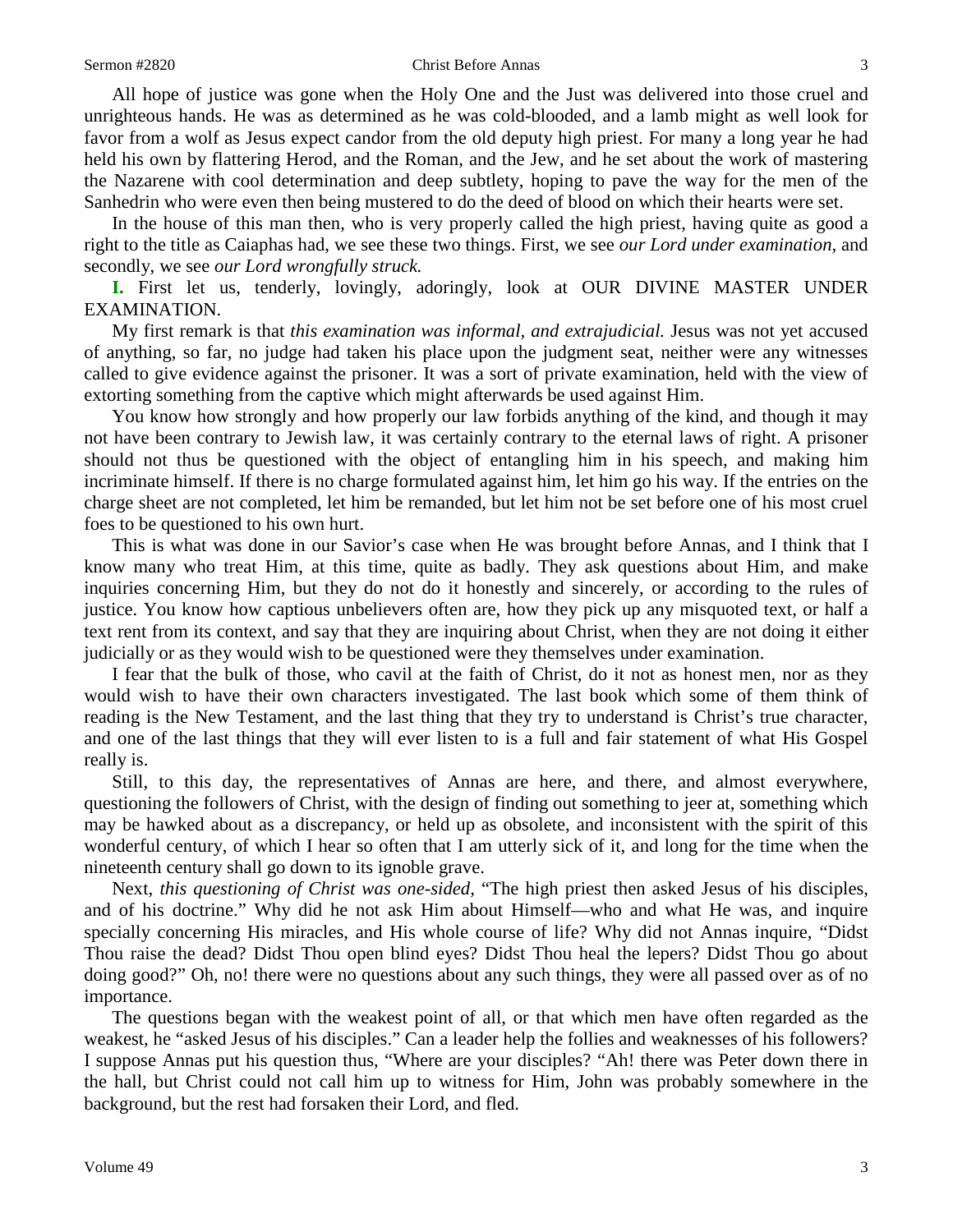All hope of justice was gone when the Holy One and the Just was delivered into those cruel and unrighteous hands. He was as determined as he was cold-blooded, and a lamb might as well look for favor from a wolf as Jesus expect candor from the old deputy high priest. For many a long year he had held his own by flattering Herod, and the Roman, and the Jew, and he set about the work of mastering the Nazarene with cool determination and deep subtlety, hoping to pave the way for the men of the Sanhedrin who were even then being mustered to do the deed of blood on which their hearts were set.

In the house of this man then, who is very properly called the high priest, having quite as good a right to the title as Caiaphas had, we see these two things. First, we see *our Lord under examination,* and secondly, we see *our Lord wrongfully struck.* 

**I.** First let us, tenderly, lovingly, adoringly, look at OUR DIVINE MASTER UNDER EXAMINATION.

My first remark is that *this examination was informal, and extrajudicial.* Jesus was not yet accused of anything, so far, no judge had taken his place upon the judgment seat, neither were any witnesses called to give evidence against the prisoner. It was a sort of private examination, held with the view of extorting something from the captive which might afterwards be used against Him.

You know how strongly and how properly our law forbids anything of the kind, and though it may not have been contrary to Jewish law, it was certainly contrary to the eternal laws of right. A prisoner should not thus be questioned with the object of entangling him in his speech, and making him incriminate himself. If there is no charge formulated against him, let him go his way. If the entries on the charge sheet are not completed, let him be remanded, but let him not be set before one of his most cruel foes to be questioned to his own hurt.

This is what was done in our Savior's case when He was brought before Annas, and I think that I know many who treat Him, at this time, quite as badly. They ask questions about Him, and make inquiries concerning Him, but they do not do it honestly and sincerely, or according to the rules of justice. You know how captious unbelievers often are, how they pick up any misquoted text, or half a text rent from its context, and say that they are inquiring about Christ, when they are not doing it either judicially or as they would wish to be questioned were they themselves under examination.

I fear that the bulk of those, who cavil at the faith of Christ, do it not as honest men, nor as they would wish to have their own characters investigated. The last book which some of them think of reading is the New Testament, and the last thing that they try to understand is Christ's true character, and one of the last things that they will ever listen to is a full and fair statement of what His Gospel really is.

Still, to this day, the representatives of Annas are here, and there, and almost everywhere, questioning the followers of Christ, with the design of finding out something to jeer at, something which may be hawked about as a discrepancy, or held up as obsolete, and inconsistent with the spirit of this wonderful century, of which I hear so often that I am utterly sick of it, and long for the time when the nineteenth century shall go down to its ignoble grave.

Next, *this questioning of Christ was one-sided,* "The high priest then asked Jesus of his disciples, and of his doctrine." Why did he not ask Him about Himself—who and what He was, and inquire specially concerning His miracles, and His whole course of life? Why did not Annas inquire, "Didst Thou raise the dead? Didst Thou open blind eyes? Didst Thou heal the lepers? Didst Thou go about doing good?" Oh, no! there were no questions about any such things, they were all passed over as of no importance.

The questions began with the weakest point of all, or that which men have often regarded as the weakest, he "asked Jesus of his disciples." Can a leader help the follies and weaknesses of his followers? I suppose Annas put his question thus, "Where are your disciples? "Ah! there was Peter down there in the hall, but Christ could not call him up to witness for Him, John was probably somewhere in the background, but the rest had forsaken their Lord, and fled.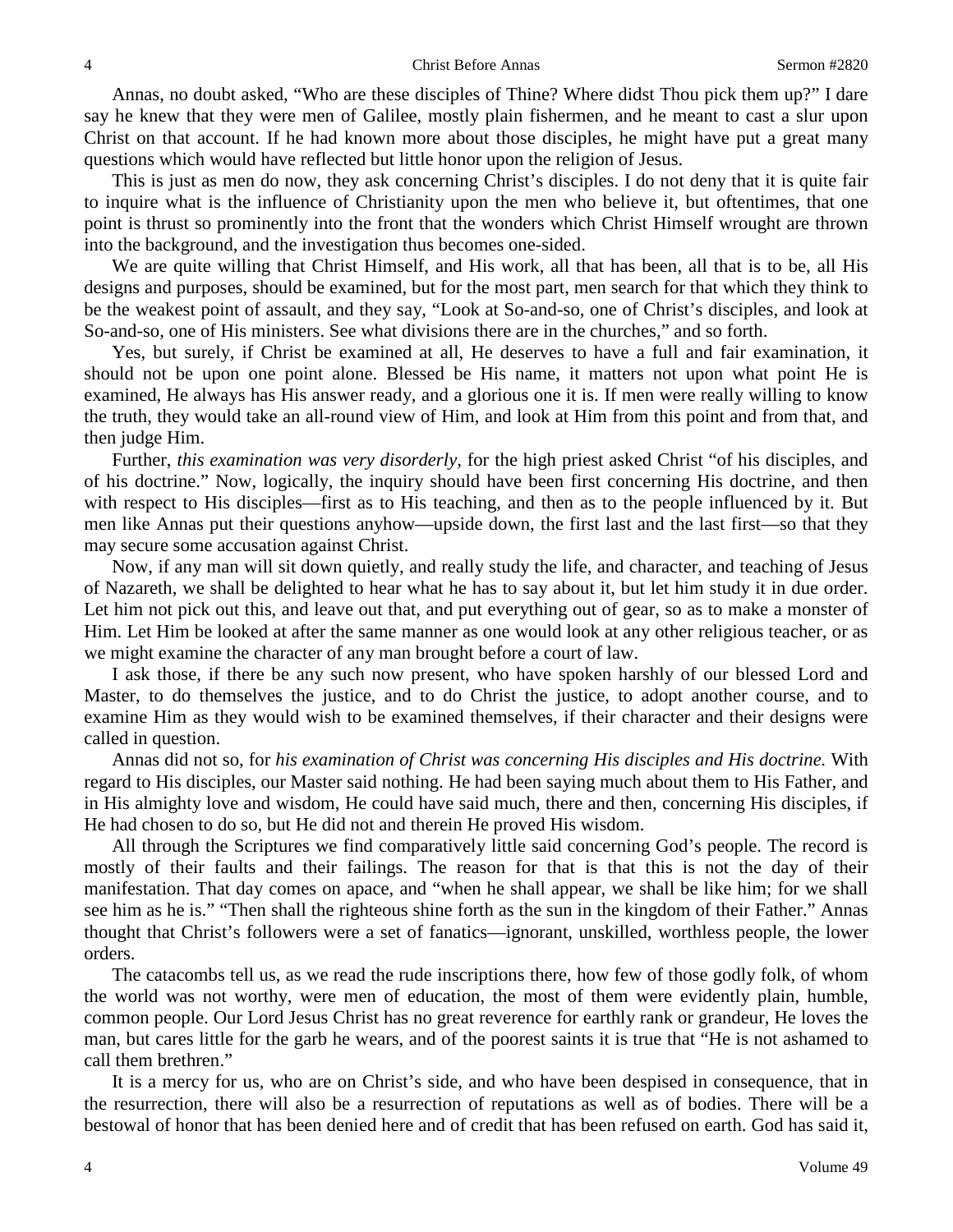Annas, no doubt asked, "Who are these disciples of Thine? Where didst Thou pick them up?" I dare say he knew that they were men of Galilee, mostly plain fishermen, and he meant to cast a slur upon Christ on that account. If he had known more about those disciples, he might have put a great many questions which would have reflected but little honor upon the religion of Jesus.

This is just as men do now, they ask concerning Christ's disciples. I do not deny that it is quite fair to inquire what is the influence of Christianity upon the men who believe it, but oftentimes, that one point is thrust so prominently into the front that the wonders which Christ Himself wrought are thrown into the background, and the investigation thus becomes one-sided.

We are quite willing that Christ Himself, and His work, all that has been, all that is to be, all His designs and purposes, should be examined, but for the most part, men search for that which they think to be the weakest point of assault, and they say, "Look at So-and-so, one of Christ's disciples, and look at So-and-so, one of His ministers. See what divisions there are in the churches," and so forth.

Yes, but surely, if Christ be examined at all, He deserves to have a full and fair examination, it should not be upon one point alone. Blessed be His name, it matters not upon what point He is examined, He always has His answer ready, and a glorious one it is. If men were really willing to know the truth, they would take an all-round view of Him, and look at Him from this point and from that, and then judge Him.

Further, *this examination was very disorderly,* for the high priest asked Christ "of his disciples, and of his doctrine." Now, logically, the inquiry should have been first concerning His doctrine, and then with respect to His disciples—first as to His teaching, and then as to the people influenced by it. But men like Annas put their questions anyhow—upside down, the first last and the last first—so that they may secure some accusation against Christ.

Now, if any man will sit down quietly, and really study the life, and character, and teaching of Jesus of Nazareth, we shall be delighted to hear what he has to say about it, but let him study it in due order. Let him not pick out this, and leave out that, and put everything out of gear, so as to make a monster of Him. Let Him be looked at after the same manner as one would look at any other religious teacher, or as we might examine the character of any man brought before a court of law.

I ask those, if there be any such now present, who have spoken harshly of our blessed Lord and Master, to do themselves the justice, and to do Christ the justice, to adopt another course, and to examine Him as they would wish to be examined themselves, if their character and their designs were called in question.

Annas did not so, for *his examination of Christ was concerning His disciples and His doctrine.* With regard to His disciples, our Master said nothing. He had been saying much about them to His Father, and in His almighty love and wisdom, He could have said much, there and then, concerning His disciples, if He had chosen to do so, but He did not and therein He proved His wisdom.

All through the Scriptures we find comparatively little said concerning God's people. The record is mostly of their faults and their failings. The reason for that is that this is not the day of their manifestation. That day comes on apace, and "when he shall appear, we shall be like him; for we shall see him as he is." "Then shall the righteous shine forth as the sun in the kingdom of their Father." Annas thought that Christ's followers were a set of fanatics—ignorant, unskilled, worthless people, the lower orders.

The catacombs tell us, as we read the rude inscriptions there, how few of those godly folk, of whom the world was not worthy, were men of education, the most of them were evidently plain, humble, common people. Our Lord Jesus Christ has no great reverence for earthly rank or grandeur, He loves the man, but cares little for the garb he wears, and of the poorest saints it is true that "He is not ashamed to call them brethren."

It is a mercy for us, who are on Christ's side, and who have been despised in consequence, that in the resurrection, there will also be a resurrection of reputations as well as of bodies. There will be a bestowal of honor that has been denied here and of credit that has been refused on earth. God has said it,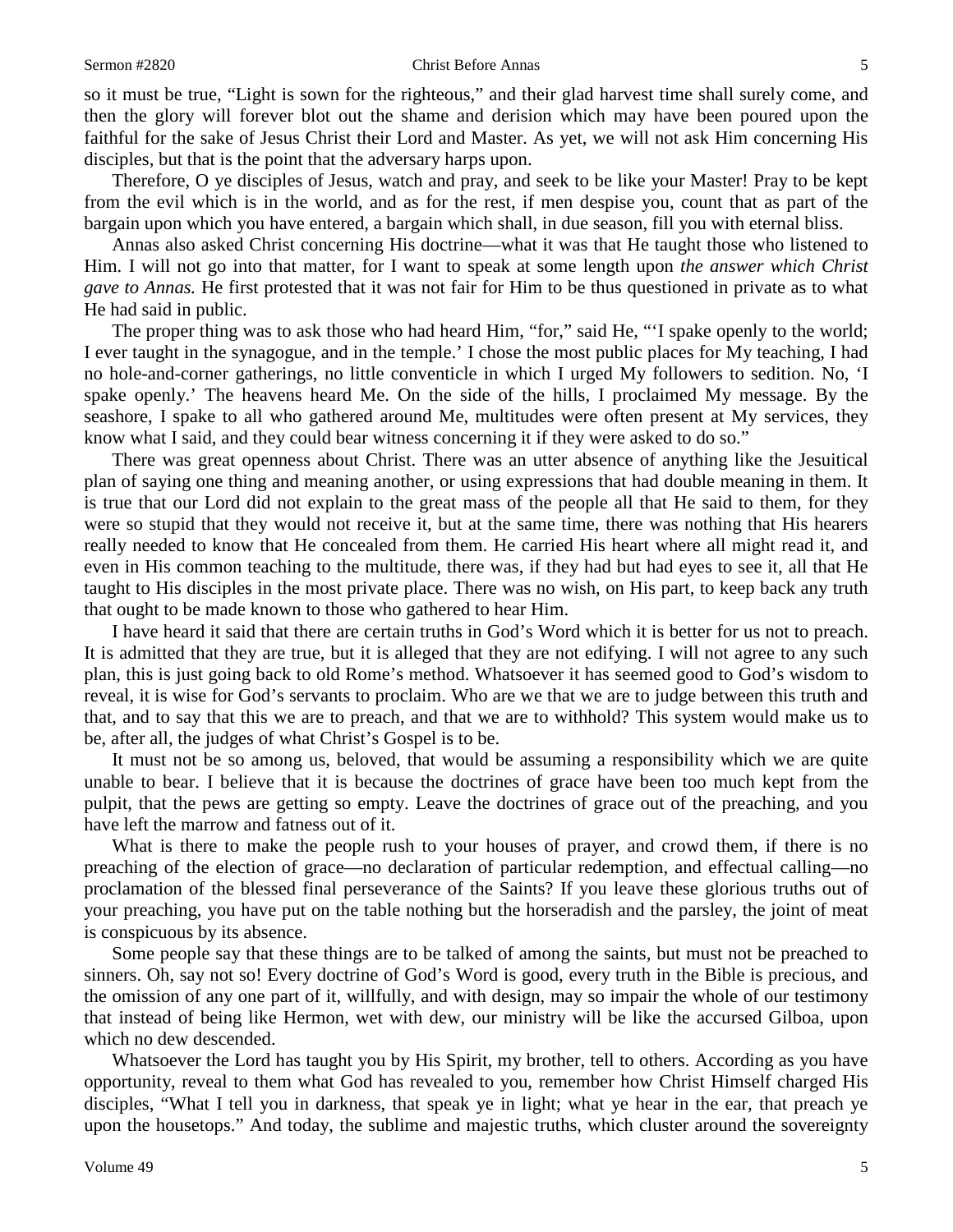### Sermon #2820 Christ Before Annas 5

so it must be true, "Light is sown for the righteous," and their glad harvest time shall surely come, and then the glory will forever blot out the shame and derision which may have been poured upon the faithful for the sake of Jesus Christ their Lord and Master. As yet, we will not ask Him concerning His disciples, but that is the point that the adversary harps upon.

Therefore, O ye disciples of Jesus, watch and pray, and seek to be like your Master! Pray to be kept from the evil which is in the world, and as for the rest, if men despise you, count that as part of the bargain upon which you have entered, a bargain which shall, in due season, fill you with eternal bliss.

Annas also asked Christ concerning His doctrine—what it was that He taught those who listened to Him. I will not go into that matter, for I want to speak at some length upon *the answer which Christ gave to Annas.* He first protested that it was not fair for Him to be thus questioned in private as to what He had said in public.

The proper thing was to ask those who had heard Him, "for," said He, "'I spake openly to the world; I ever taught in the synagogue, and in the temple.' I chose the most public places for My teaching, I had no hole-and-corner gatherings, no little conventicle in which I urged My followers to sedition. No, 'I spake openly.' The heavens heard Me. On the side of the hills, I proclaimed My message. By the seashore, I spake to all who gathered around Me, multitudes were often present at My services, they know what I said, and they could bear witness concerning it if they were asked to do so."

There was great openness about Christ. There was an utter absence of anything like the Jesuitical plan of saying one thing and meaning another, or using expressions that had double meaning in them. It is true that our Lord did not explain to the great mass of the people all that He said to them, for they were so stupid that they would not receive it, but at the same time, there was nothing that His hearers really needed to know that He concealed from them. He carried His heart where all might read it, and even in His common teaching to the multitude, there was, if they had but had eyes to see it, all that He taught to His disciples in the most private place. There was no wish, on His part, to keep back any truth that ought to be made known to those who gathered to hear Him.

I have heard it said that there are certain truths in God's Word which it is better for us not to preach. It is admitted that they are true, but it is alleged that they are not edifying. I will not agree to any such plan, this is just going back to old Rome's method. Whatsoever it has seemed good to God's wisdom to reveal, it is wise for God's servants to proclaim. Who are we that we are to judge between this truth and that, and to say that this we are to preach, and that we are to withhold? This system would make us to be, after all, the judges of what Christ's Gospel is to be.

It must not be so among us, beloved, that would be assuming a responsibility which we are quite unable to bear. I believe that it is because the doctrines of grace have been too much kept from the pulpit, that the pews are getting so empty. Leave the doctrines of grace out of the preaching, and you have left the marrow and fatness out of it.

What is there to make the people rush to your houses of prayer, and crowd them, if there is no preaching of the election of grace—no declaration of particular redemption, and effectual calling—no proclamation of the blessed final perseverance of the Saints? If you leave these glorious truths out of your preaching, you have put on the table nothing but the horseradish and the parsley, the joint of meat is conspicuous by its absence.

Some people say that these things are to be talked of among the saints, but must not be preached to sinners. Oh, say not so! Every doctrine of God's Word is good, every truth in the Bible is precious, and the omission of any one part of it, willfully, and with design, may so impair the whole of our testimony that instead of being like Hermon, wet with dew, our ministry will be like the accursed Gilboa, upon which no dew descended.

Whatsoever the Lord has taught you by His Spirit, my brother, tell to others. According as you have opportunity, reveal to them what God has revealed to you, remember how Christ Himself charged His disciples, "What I tell you in darkness, that speak ye in light; what ye hear in the ear, that preach ye upon the housetops." And today, the sublime and majestic truths, which cluster around the sovereignty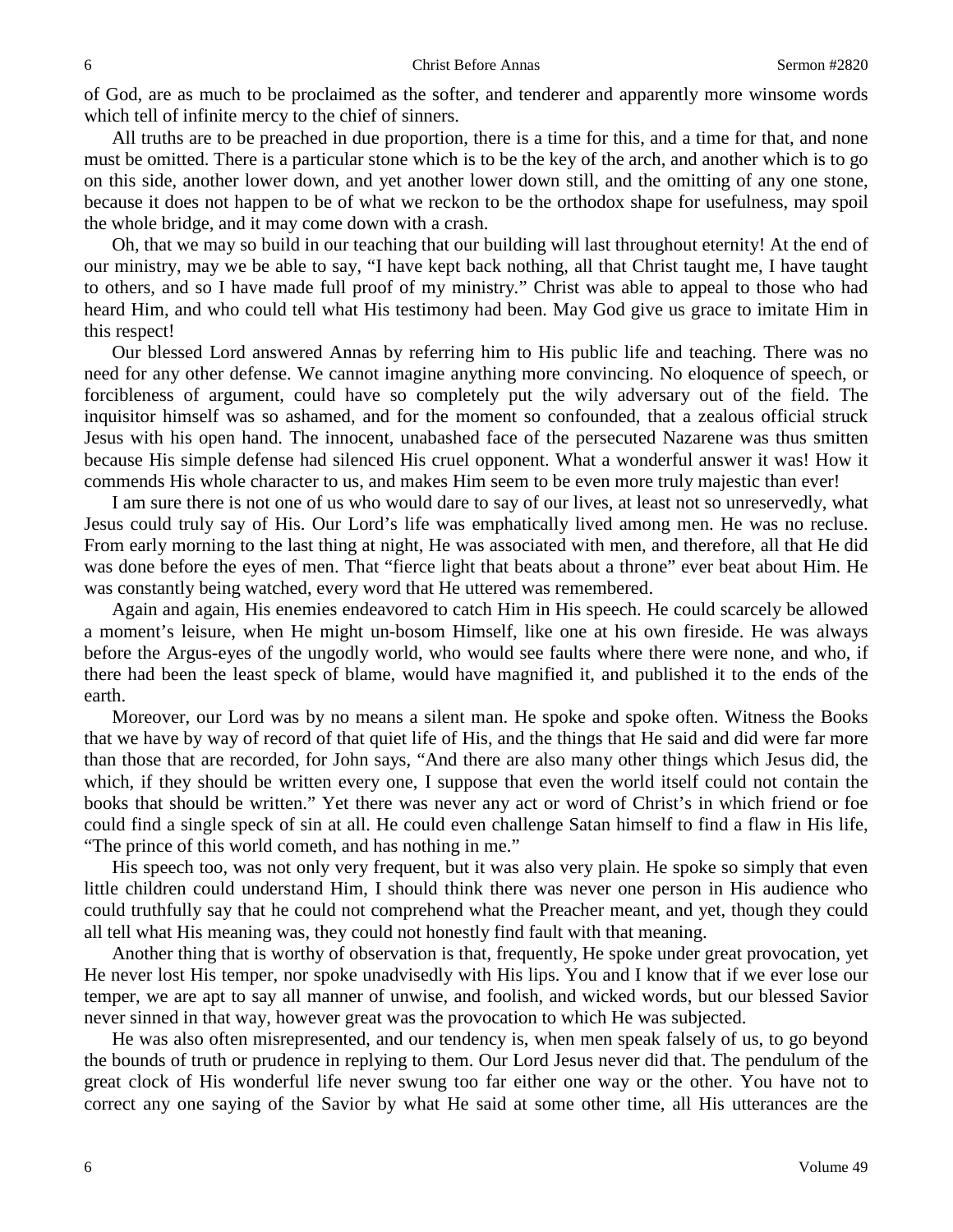of God, are as much to be proclaimed as the softer, and tenderer and apparently more winsome words which tell of infinite mercy to the chief of sinners.

All truths are to be preached in due proportion, there is a time for this, and a time for that, and none must be omitted. There is a particular stone which is to be the key of the arch, and another which is to go on this side, another lower down, and yet another lower down still, and the omitting of any one stone, because it does not happen to be of what we reckon to be the orthodox shape for usefulness, may spoil the whole bridge, and it may come down with a crash.

Oh, that we may so build in our teaching that our building will last throughout eternity! At the end of our ministry, may we be able to say, "I have kept back nothing, all that Christ taught me, I have taught to others, and so I have made full proof of my ministry." Christ was able to appeal to those who had heard Him, and who could tell what His testimony had been. May God give us grace to imitate Him in this respect!

Our blessed Lord answered Annas by referring him to His public life and teaching. There was no need for any other defense. We cannot imagine anything more convincing. No eloquence of speech, or forcibleness of argument, could have so completely put the wily adversary out of the field. The inquisitor himself was so ashamed, and for the moment so confounded, that a zealous official struck Jesus with his open hand. The innocent, unabashed face of the persecuted Nazarene was thus smitten because His simple defense had silenced His cruel opponent. What a wonderful answer it was! How it commends His whole character to us, and makes Him seem to be even more truly majestic than ever!

I am sure there is not one of us who would dare to say of our lives, at least not so unreservedly, what Jesus could truly say of His. Our Lord's life was emphatically lived among men. He was no recluse. From early morning to the last thing at night, He was associated with men, and therefore, all that He did was done before the eyes of men. That "fierce light that beats about a throne" ever beat about Him. He was constantly being watched, every word that He uttered was remembered.

Again and again, His enemies endeavored to catch Him in His speech. He could scarcely be allowed a moment's leisure, when He might un-bosom Himself, like one at his own fireside. He was always before the Argus-eyes of the ungodly world, who would see faults where there were none, and who, if there had been the least speck of blame, would have magnified it, and published it to the ends of the earth.

Moreover, our Lord was by no means a silent man. He spoke and spoke often. Witness the Books that we have by way of record of that quiet life of His, and the things that He said and did were far more than those that are recorded, for John says, "And there are also many other things which Jesus did, the which, if they should be written every one, I suppose that even the world itself could not contain the books that should be written." Yet there was never any act or word of Christ's in which friend or foe could find a single speck of sin at all. He could even challenge Satan himself to find a flaw in His life, "The prince of this world cometh, and has nothing in me."

His speech too, was not only very frequent, but it was also very plain. He spoke so simply that even little children could understand Him, I should think there was never one person in His audience who could truthfully say that he could not comprehend what the Preacher meant, and yet, though they could all tell what His meaning was, they could not honestly find fault with that meaning.

Another thing that is worthy of observation is that, frequently, He spoke under great provocation, yet He never lost His temper, nor spoke unadvisedly with His lips. You and I know that if we ever lose our temper, we are apt to say all manner of unwise, and foolish, and wicked words, but our blessed Savior never sinned in that way, however great was the provocation to which He was subjected.

He was also often misrepresented, and our tendency is, when men speak falsely of us, to go beyond the bounds of truth or prudence in replying to them. Our Lord Jesus never did that. The pendulum of the great clock of His wonderful life never swung too far either one way or the other. You have not to correct any one saying of the Savior by what He said at some other time, all His utterances are the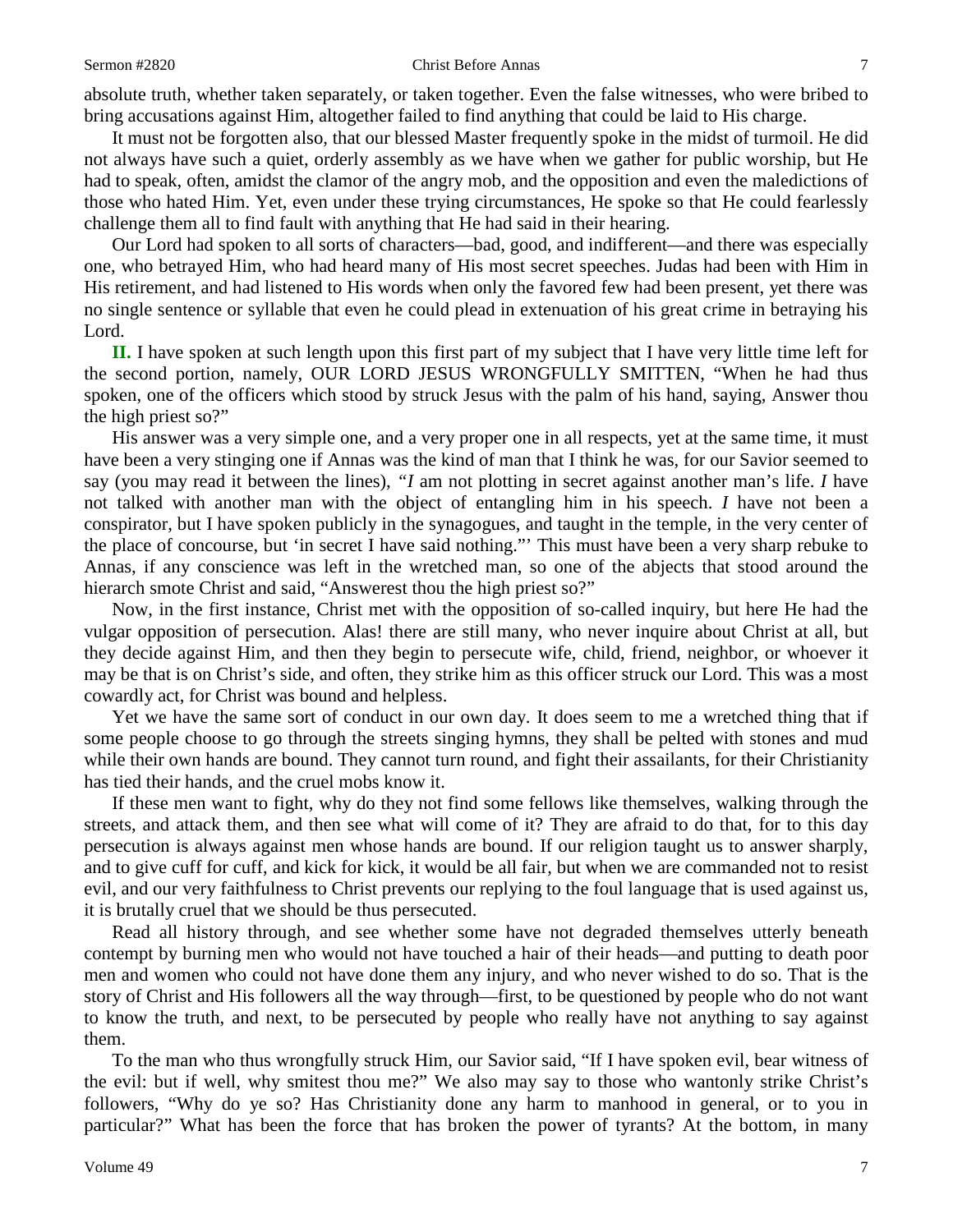absolute truth, whether taken separately, or taken together. Even the false witnesses, who were bribed to bring accusations against Him, altogether failed to find anything that could be laid to His charge.

It must not be forgotten also, that our blessed Master frequently spoke in the midst of turmoil. He did not always have such a quiet, orderly assembly as we have when we gather for public worship, but He had to speak, often, amidst the clamor of the angry mob, and the opposition and even the maledictions of those who hated Him. Yet, even under these trying circumstances, He spoke so that He could fearlessly challenge them all to find fault with anything that He had said in their hearing.

Our Lord had spoken to all sorts of characters—bad, good, and indifferent—and there was especially one, who betrayed Him, who had heard many of His most secret speeches. Judas had been with Him in His retirement, and had listened to His words when only the favored few had been present, yet there was no single sentence or syllable that even he could plead in extenuation of his great crime in betraying his Lord.

**II.** I have spoken at such length upon this first part of my subject that I have very little time left for the second portion, namely, OUR LORD JESUS WRONGFULLY SMITTEN, "When he had thus spoken, one of the officers which stood by struck Jesus with the palm of his hand, saying, Answer thou the high priest so?"

His answer was a very simple one, and a very proper one in all respects, yet at the same time, it must have been a very stinging one if Annas was the kind of man that I think he was, for our Savior seemed to say (you may read it between the lines), *"I* am not plotting in secret against another man's life. *I* have not talked with another man with the object of entangling him in his speech. *I* have not been a conspirator, but I have spoken publicly in the synagogues, and taught in the temple, in the very center of the place of concourse, but 'in secret I have said nothing."' This must have been a very sharp rebuke to Annas, if any conscience was left in the wretched man, so one of the abjects that stood around the hierarch smote Christ and said, "Answerest thou the high priest so?"

Now, in the first instance, Christ met with the opposition of so-called inquiry, but here He had the vulgar opposition of persecution. Alas! there are still many, who never inquire about Christ at all, but they decide against Him, and then they begin to persecute wife, child, friend, neighbor, or whoever it may be that is on Christ's side, and often, they strike him as this officer struck our Lord. This was a most cowardly act, for Christ was bound and helpless.

Yet we have the same sort of conduct in our own day. It does seem to me a wretched thing that if some people choose to go through the streets singing hymns, they shall be pelted with stones and mud while their own hands are bound. They cannot turn round, and fight their assailants, for their Christianity has tied their hands, and the cruel mobs know it.

If these men want to fight, why do they not find some fellows like themselves, walking through the streets, and attack them, and then see what will come of it? They are afraid to do that, for to this day persecution is always against men whose hands are bound. If our religion taught us to answer sharply, and to give cuff for cuff, and kick for kick, it would be all fair, but when we are commanded not to resist evil, and our very faithfulness to Christ prevents our replying to the foul language that is used against us, it is brutally cruel that we should be thus persecuted.

Read all history through, and see whether some have not degraded themselves utterly beneath contempt by burning men who would not have touched a hair of their heads—and putting to death poor men and women who could not have done them any injury, and who never wished to do so. That is the story of Christ and His followers all the way through—first, to be questioned by people who do not want to know the truth, and next, to be persecuted by people who really have not anything to say against them.

To the man who thus wrongfully struck Him, our Savior said, "If I have spoken evil, bear witness of the evil: but if well, why smitest thou me?" We also may say to those who wantonly strike Christ's followers, "Why do ye so? Has Christianity done any harm to manhood in general, or to you in particular?" What has been the force that has broken the power of tyrants? At the bottom, in many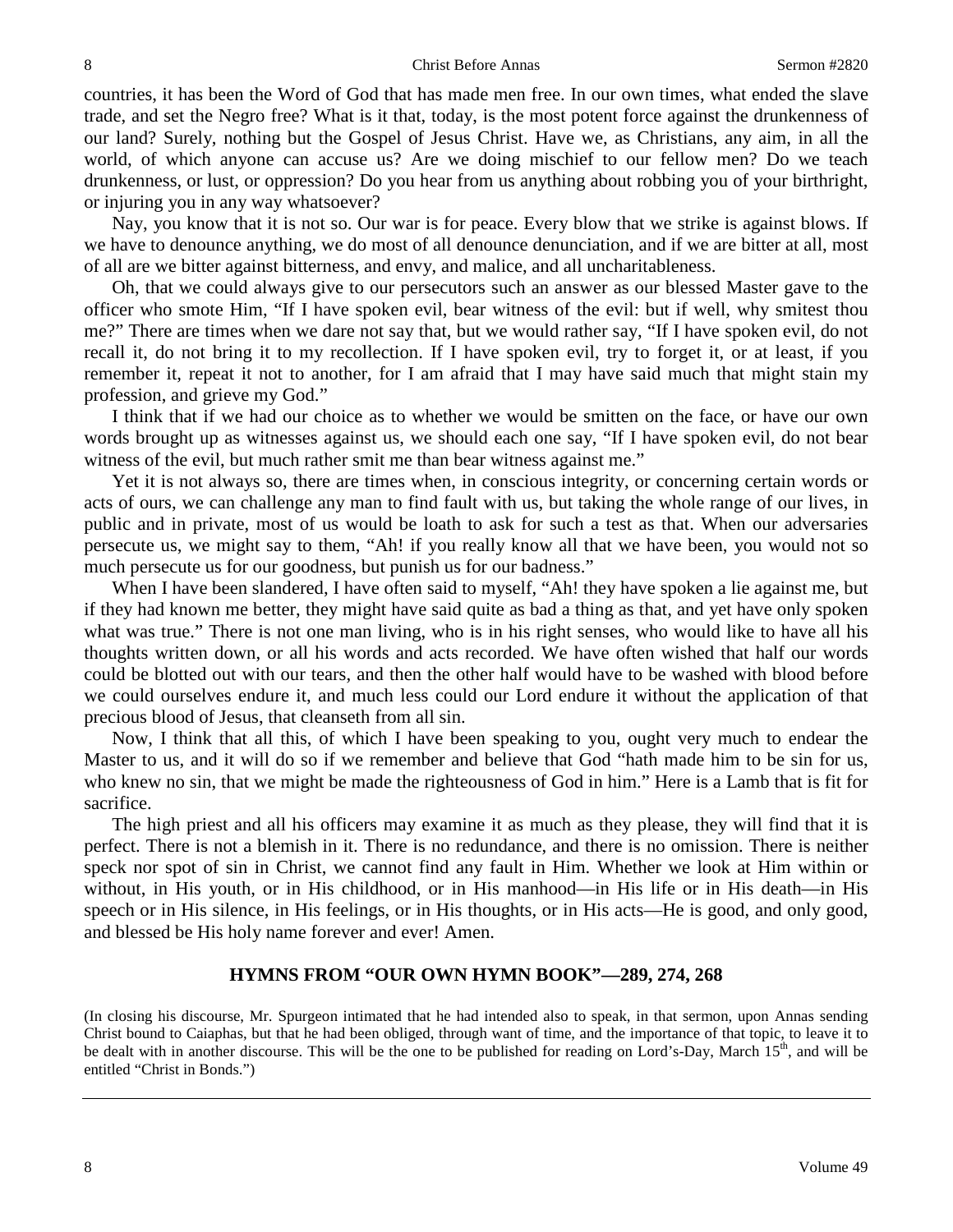countries, it has been the Word of God that has made men free. In our own times, what ended the slave trade, and set the Negro free? What is it that, today, is the most potent force against the drunkenness of our land? Surely, nothing but the Gospel of Jesus Christ. Have we, as Christians, any aim, in all the world, of which anyone can accuse us? Are we doing mischief to our fellow men? Do we teach drunkenness, or lust, or oppression? Do you hear from us anything about robbing you of your birthright, or injuring you in any way whatsoever?

Nay, you know that it is not so. Our war is for peace. Every blow that we strike is against blows. If we have to denounce anything, we do most of all denounce denunciation, and if we are bitter at all, most of all are we bitter against bitterness, and envy, and malice, and all uncharitableness.

Oh, that we could always give to our persecutors such an answer as our blessed Master gave to the officer who smote Him, "If I have spoken evil, bear witness of the evil: but if well, why smitest thou me?" There are times when we dare not say that, but we would rather say, "If I have spoken evil, do not recall it, do not bring it to my recollection. If I have spoken evil, try to forget it, or at least, if you remember it, repeat it not to another, for I am afraid that I may have said much that might stain my profession, and grieve my God."

I think that if we had our choice as to whether we would be smitten on the face, or have our own words brought up as witnesses against us, we should each one say, "If I have spoken evil, do not bear witness of the evil, but much rather smit me than bear witness against me."

Yet it is not always so, there are times when, in conscious integrity, or concerning certain words or acts of ours, we can challenge any man to find fault with us, but taking the whole range of our lives, in public and in private, most of us would be loath to ask for such a test as that. When our adversaries persecute us, we might say to them, "Ah! if you really know all that we have been, you would not so much persecute us for our goodness, but punish us for our badness."

When I have been slandered, I have often said to myself, "Ah! they have spoken a lie against me, but if they had known me better, they might have said quite as bad a thing as that, and yet have only spoken what was true." There is not one man living, who is in his right senses, who would like to have all his thoughts written down, or all his words and acts recorded. We have often wished that half our words could be blotted out with our tears, and then the other half would have to be washed with blood before we could ourselves endure it, and much less could our Lord endure it without the application of that precious blood of Jesus, that cleanseth from all sin.

Now, I think that all this, of which I have been speaking to you, ought very much to endear the Master to us, and it will do so if we remember and believe that God "hath made him to be sin for us, who knew no sin, that we might be made the righteousness of God in him." Here is a Lamb that is fit for sacrifice.

The high priest and all his officers may examine it as much as they please, they will find that it is perfect. There is not a blemish in it. There is no redundance, and there is no omission. There is neither speck nor spot of sin in Christ, we cannot find any fault in Him. Whether we look at Him within or without, in His youth, or in His childhood, or in His manhood—in His life or in His death—in His speech or in His silence, in His feelings, or in His thoughts, or in His acts—He is good, and only good, and blessed be His holy name forever and ever! Amen.

### **HYMNS FROM "OUR OWN HYMN BOOK"—289, 274, 268**

(In closing his discourse, Mr. Spurgeon intimated that he had intended also to speak, in that sermon, upon Annas sending Christ bound to Caiaphas, but that he had been obliged, through want of time, and the importance of that topic, to leave it to be dealt with in another discourse. This will be the one to be published for reading on Lord's-Day, March 15<sup>th</sup>, and will be entitled "Christ in Bonds.")